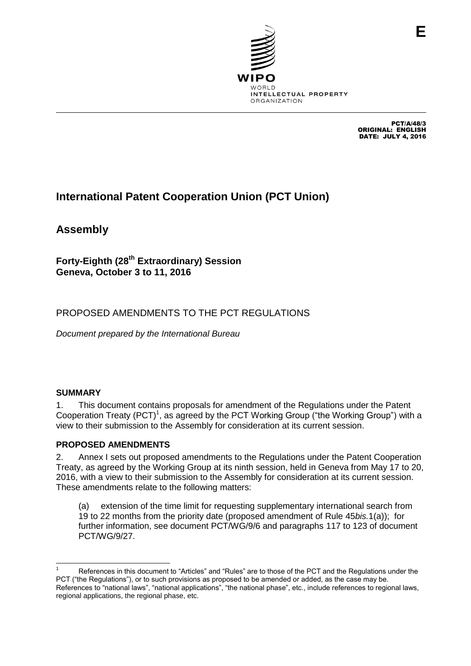

PCT/A/48/3 ORIGINAL: ENGLISH DATE: JULY 4, 2016

# **International Patent Cooperation Union (PCT Union)**

**Assembly**

**Forty-Eighth (28th Extraordinary) Session Geneva, October 3 to 11, 2016**

# PROPOSED AMENDMENTS TO THE PCT REGULATIONS

*Document prepared by the International Bureau*

# **SUMMARY**

1. This document contains proposals for amendment of the Regulations under the Patent Cooperation Treaty (PCT)<sup>1</sup>, as agreed by the PCT Working Group ("the Working Group") with a view to their submission to the Assembly for consideration at its current session.

# **PROPOSED AMENDMENTS**

2. Annex I sets out proposed amendments to the Regulations under the Patent Cooperation Treaty, as agreed by the Working Group at its ninth session, held in Geneva from May 17 to 20, 2016, with a view to their submission to the Assembly for consideration at its current session. These amendments relate to the following matters:

(a) extension of the time limit for requesting supplementary international search from 19 to 22 months from the priority date (proposed amendment of Rule 45*bis.*1(a)); for further information, see document PCT/WG/9/6 and paragraphs 117 to 123 of document PCT/WG/9/27.

 References in this document to "Articles" and "Rules" are to those of the PCT and the Regulations under the PCT ("the Regulations"), or to such provisions as proposed to be amended or added, as the case may be. References to "national laws", "national applications", "the national phase", etc., include references to regional laws, regional applications, the regional phase, etc.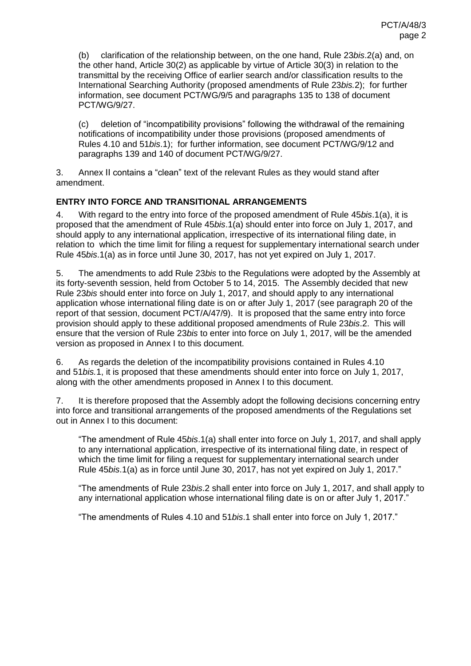(b) clarification of the relationship between, on the one hand, Rule 23*bis*.2(a) and, on the other hand, Article 30(2) as applicable by virtue of Article 30(3) in relation to the transmittal by the receiving Office of earlier search and/or classification results to the International Searching Authority (proposed amendments of Rule 23*bis.*2); for further information, see document PCT/WG/9/5 and paragraphs 135 to 138 of document PCT/WG/9/27.

(c) deletion of "incompatibility provisions" following the withdrawal of the remaining notifications of incompatibility under those provisions (proposed amendments of Rules 4.10 and 51*bis*.1); for further information, see document PCT/WG/9/12 and paragraphs 139 and 140 of document PCT/WG/9/27.

3. Annex II contains a "clean" text of the relevant Rules as they would stand after amendment.

## **ENTRY INTO FORCE AND TRANSITIONAL ARRANGEMENTS**

4. With regard to the entry into force of the proposed amendment of Rule 45*bis*.1(a), it is proposed that the amendment of Rule 45*bis*.1(a) should enter into force on July 1, 2017, and should apply to any international application, irrespective of its international filing date, in relation to which the time limit for filing a request for supplementary international search under Rule 45*bis*.1(a) as in force until June 30, 2017, has not yet expired on July 1, 2017.

5. The amendments to add Rule 23*bis* to the Regulations were adopted by the Assembly at its forty-seventh session, held from October 5 to 14, 2015. The Assembly decided that new Rule 23*bis* should enter into force on July 1, 2017, and should apply to any international application whose international filing date is on or after July 1, 2017 (see paragraph 20 of the report of that session, document PCT/A/47/9). It is proposed that the same entry into force provision should apply to these additional proposed amendments of Rule 23*bis*.2. This will ensure that the version of Rule 23*bis* to enter into force on July 1, 2017, will be the amended version as proposed in Annex I to this document.

6. As regards the deletion of the incompatibility provisions contained in Rules 4.10 and 51*bis.*1, it is proposed that these amendments should enter into force on July 1, 2017, along with the other amendments proposed in Annex I to this document.

<span id="page-1-0"></span>7. It is therefore proposed that the Assembly adopt the following decisions concerning entry into force and transitional arrangements of the proposed amendments of the Regulations set out in Annex I to this document:

"The amendment of Rule 45*bis*.1(a) shall enter into force on July 1, 2017, and shall apply to any international application, irrespective of its international filing date, in respect of which the time limit for filing a request for supplementary international search under Rule 45*bis*.1(a) as in force until June 30, 2017, has not yet expired on July 1, 2017."

"The amendments of Rule 23*bis*.2 shall enter into force on July 1, 2017, and shall apply to any international application whose international filing date is on or after July 1, 2017."

"The amendments of Rules 4.10 and 51*bis*.1 shall enter into force on July 1, 2017."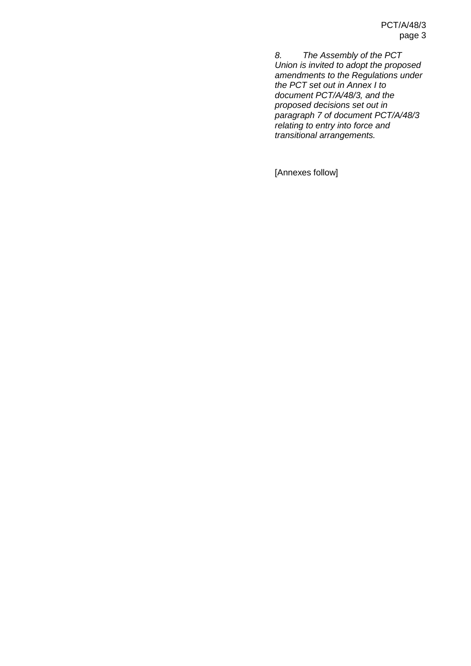*8. The Assembly of the PCT Union is invited to adopt the proposed amendments to the Regulations under the PCT set out in Annex I to document PCT/A/48/3, and the proposed decisions set out in paragraph [7](#page-1-0) of document PCT/A/48/3 relating to entry into force and transitional arrangements.*

[Annexes follow]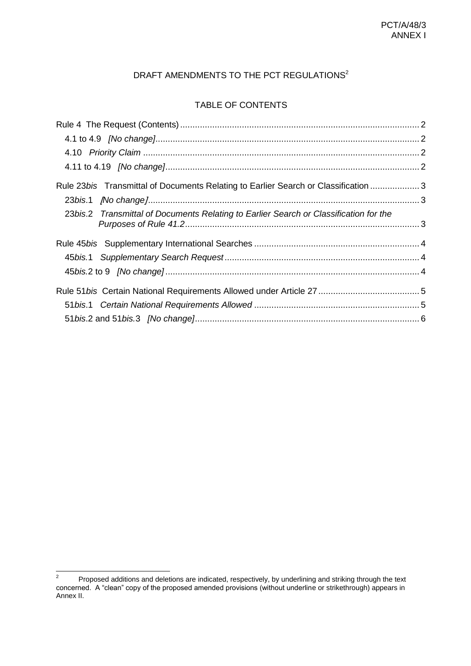# DRAFT AMENDMENTS TO THE PCT REGULATIONS<sup>2</sup>

## TABLE OF CONTENTS

| Rule 23bis Transmittal of Documents Relating to Earlier Search or Classification  3   |  |
|---------------------------------------------------------------------------------------|--|
|                                                                                       |  |
| 23bis.2 Transmittal of Documents Relating to Earlier Search or Classification for the |  |
|                                                                                       |  |
|                                                                                       |  |
|                                                                                       |  |
|                                                                                       |  |
|                                                                                       |  |
|                                                                                       |  |

 $\frac{1}{2}$ Proposed additions and deletions are indicated, respectively, by underlining and striking through the text concerned. A "clean" copy of the proposed amended provisions (without underline or strikethrough) appears in Annex II.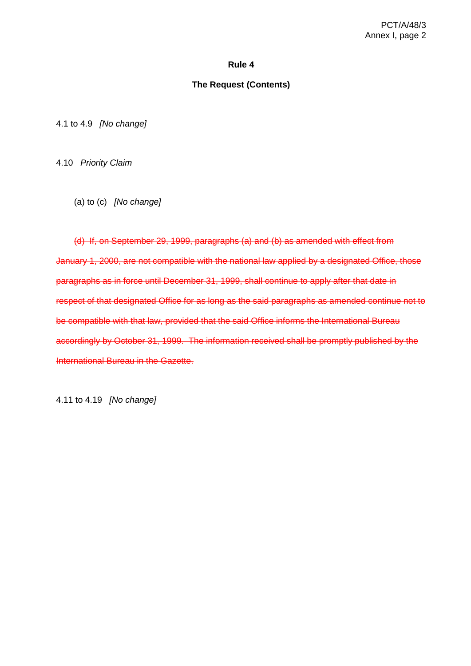#### **Rule 4**

#### **The Request (Contents)**

<span id="page-4-1"></span><span id="page-4-0"></span>4.1 to 4.9 *[No change]*

<span id="page-4-2"></span>4.10 *Priority Claim*

(a) to (c) *[No change]*

(d) If, on September 29, 1999, paragraphs (a) and (b) as amended with effect from January 1, 2000, are not compatible with the national law applied by a designated Office, those paragraphs as in force until December 31, 1999, shall continue to apply after that date in respect of that designated Office for as long as the said paragraphs as amended continue not to be compatible with that law, provided that the said Office informs the International Bureau accordingly by October 31, 1999. The information received shall be promptly published by the International Bureau in the Gazette.

<span id="page-4-3"></span>4.11 to 4.19 *[No change]*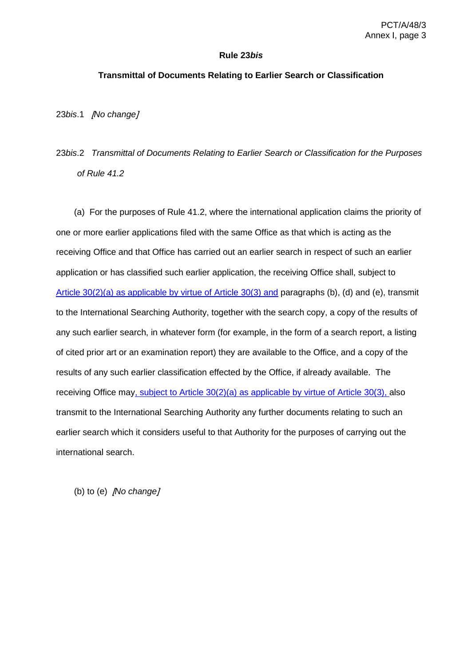#### **Rule 23***bis*

## <span id="page-5-0"></span>**Transmittal of Documents Relating to Earlier Search or Classification**

<span id="page-5-1"></span>23*bis*.1 [*No change*]

# <span id="page-5-2"></span>23*bis*.2 *Transmittal of Documents Relating to Earlier Search or Classification for the Purposes of Rule 41.2*

(a) For the purposes of Rule 41.2, where the international application claims the priority of one or more earlier applications filed with the same Office as that which is acting as the receiving Office and that Office has carried out an earlier search in respect of such an earlier application or has classified such earlier application, the receiving Office shall, subject to Article 30(2)(a) as applicable by virtue of Article 30(3) and paragraphs (b), (d) and (e), transmit to the International Searching Authority, together with the search copy, a copy of the results of any such earlier search, in whatever form (for example, in the form of a search report, a listing of cited prior art or an examination report) they are available to the Office, and a copy of the results of any such earlier classification effected by the Office, if already available. The receiving Office may, subject to Article 30(2)(a) as applicable by virtue of Article 30(3), also transmit to the International Searching Authority any further documents relating to such an earlier search which it considers useful to that Authority for the purposes of carrying out the international search.

(b) to (e) [*No change*]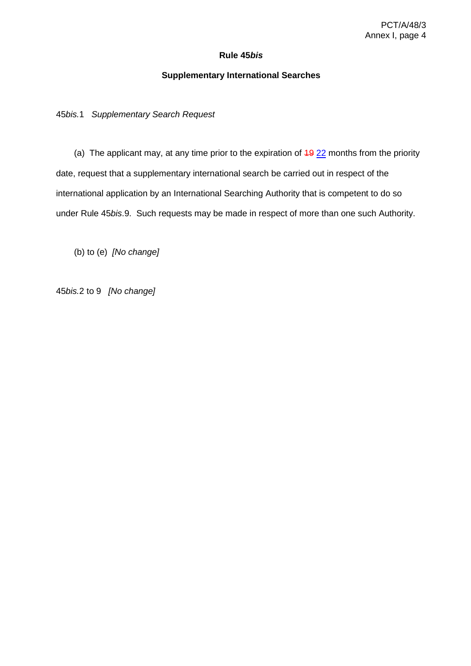### **Rule 45***bis*

## **Supplementary International Searches**

<span id="page-6-1"></span><span id="page-6-0"></span>45*bis.*1 *Supplementary Search Request*

(a) The applicant may, at any time prior to the expiration of  $\frac{49}{22}$  months from the priority date, request that a supplementary international search be carried out in respect of the international application by an International Searching Authority that is competent to do so under Rule 45*bis*.9. Such requests may be made in respect of more than one such Authority.

(b) to (e) *[No change]*

<span id="page-6-2"></span>45*bis.*2 to 9 *[No change]*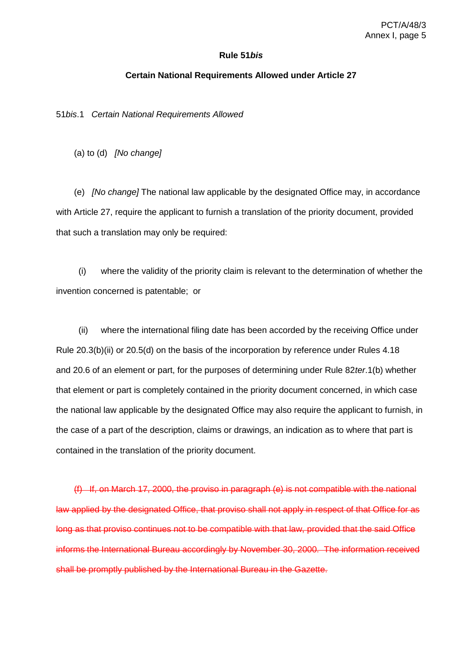#### **Rule 51***bis*

#### **Certain National Requirements Allowed under Article 27**

<span id="page-7-1"></span><span id="page-7-0"></span>51*bis*.1 *Certain National Requirements Allowed*

(a) to (d) *[No change]*

(e) *[No change]* The national law applicable by the designated Office may, in accordance with Article 27, require the applicant to furnish a translation of the priority document, provided that such a translation may only be required:

(i) where the validity of the priority claim is relevant to the determination of whether the invention concerned is patentable; or

(ii) where the international filing date has been accorded by the receiving Office under Rule 20.3(b)(ii) or 20.5(d) on the basis of the incorporation by reference under Rules 4.18 and 20.6 of an element or part, for the purposes of determining under Rule 82*ter*.1(b) whether that element or part is completely contained in the priority document concerned, in which case the national law applicable by the designated Office may also require the applicant to furnish, in the case of a part of the description, claims or drawings, an indication as to where that part is contained in the translation of the priority document.

(f) If, on March 17, 2000, the proviso in paragraph (e) is not compatible with the national law applied by the designated Office, that proviso shall not apply in respect of that Office for as long as that proviso continues not to be compatible with that law, provided that the said Office informs the International Bureau accordingly by November 30, 2000. The information received shall be promptly published by the International Bureau in the Gazette.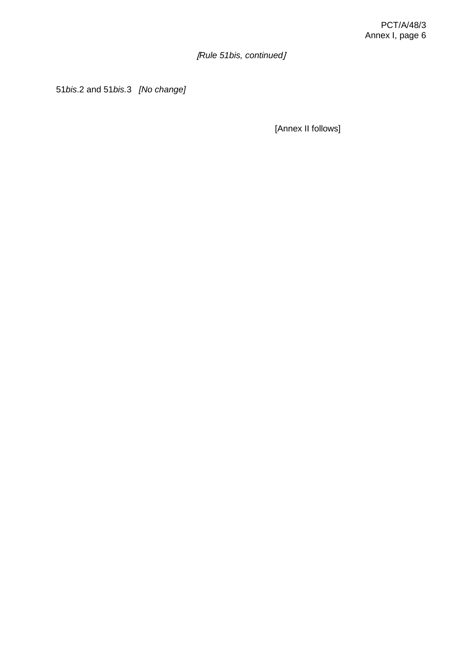[*Rule 51bis, continued*]

<span id="page-8-0"></span>51*bis*.2 and 51*bis.*3 *[No change]*

[Annex II follows]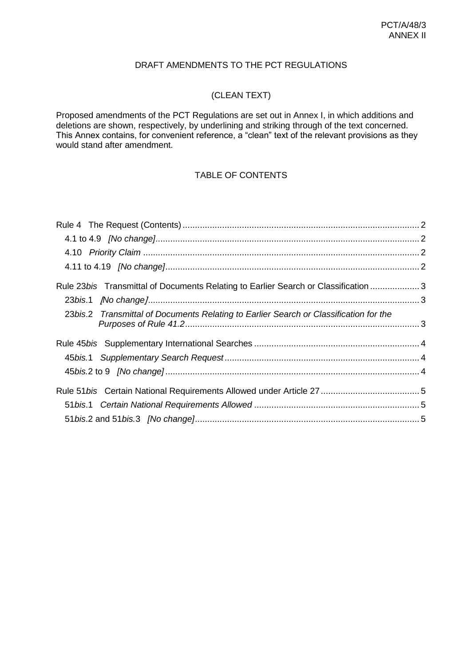# DRAFT AMENDMENTS TO THE PCT REGULATIONS

# (CLEAN TEXT)

Proposed amendments of the PCT Regulations are set out in Annex I, in which additions and deletions are shown, respectively, by underlining and striking through of the text concerned. This Annex contains, for convenient reference, a "clean" text of the relevant provisions as they would stand after amendment.

# TABLE OF CONTENTS

| Rule 23bis Transmittal of Documents Relating to Earlier Search or Classification  3   |  |
|---------------------------------------------------------------------------------------|--|
|                                                                                       |  |
| 23bis.2 Transmittal of Documents Relating to Earlier Search or Classification for the |  |
|                                                                                       |  |
|                                                                                       |  |
|                                                                                       |  |
|                                                                                       |  |
|                                                                                       |  |
|                                                                                       |  |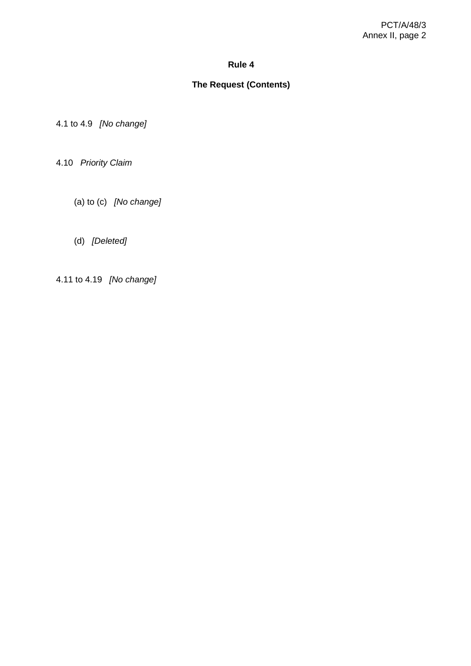## **Rule 4**

# **The Request (Contents)**

<span id="page-10-1"></span><span id="page-10-0"></span>4.1 to 4.9 *[No change]*

<span id="page-10-2"></span>4.10 *Priority Claim*

- (a) to (c) *[No change]*
- (d) *[Deleted]*
- <span id="page-10-3"></span>4.11 to 4.19 *[No change]*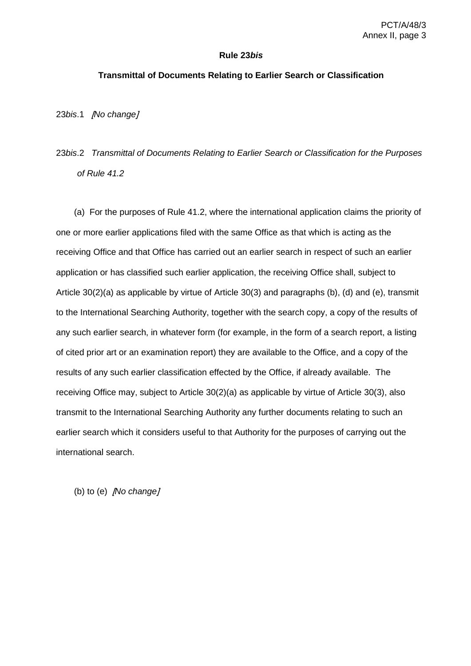#### **Rule 23***bis*

#### <span id="page-11-0"></span>**Transmittal of Documents Relating to Earlier Search or Classification**

<span id="page-11-1"></span>23*bis*.1 [*No change*]

# <span id="page-11-2"></span>23*bis*.2 *Transmittal of Documents Relating to Earlier Search or Classification for the Purposes of Rule 41.2*

(a) For the purposes of Rule 41.2, where the international application claims the priority of one or more earlier applications filed with the same Office as that which is acting as the receiving Office and that Office has carried out an earlier search in respect of such an earlier application or has classified such earlier application, the receiving Office shall, subject to Article 30(2)(a) as applicable by virtue of Article 30(3) and paragraphs (b), (d) and (e), transmit to the International Searching Authority, together with the search copy, a copy of the results of any such earlier search, in whatever form (for example, in the form of a search report, a listing of cited prior art or an examination report) they are available to the Office, and a copy of the results of any such earlier classification effected by the Office, if already available. The receiving Office may, subject to Article 30(2)(a) as applicable by virtue of Article 30(3), also transmit to the International Searching Authority any further documents relating to such an earlier search which it considers useful to that Authority for the purposes of carrying out the international search.

(b) to (e) [*No change*]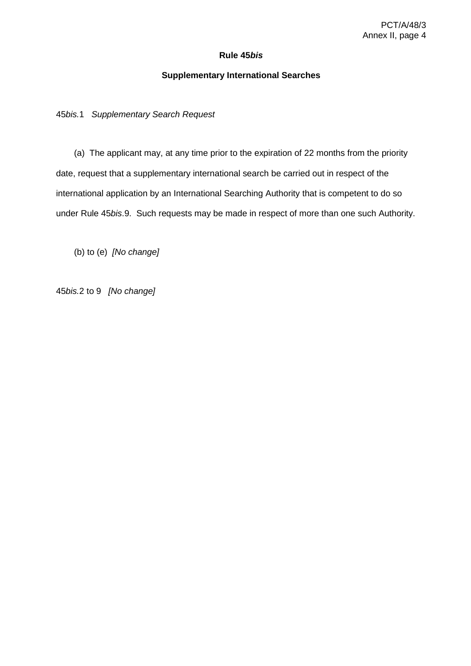## **Rule 45***bis*

## **Supplementary International Searches**

<span id="page-12-1"></span><span id="page-12-0"></span>45*bis.*1 *Supplementary Search Request*

(a) The applicant may, at any time prior to the expiration of 22 months from the priority date, request that a supplementary international search be carried out in respect of the international application by an International Searching Authority that is competent to do so under Rule 45*bis*.9. Such requests may be made in respect of more than one such Authority.

(b) to (e) *[No change]*

<span id="page-12-2"></span>45*bis.*2 to 9 *[No change]*